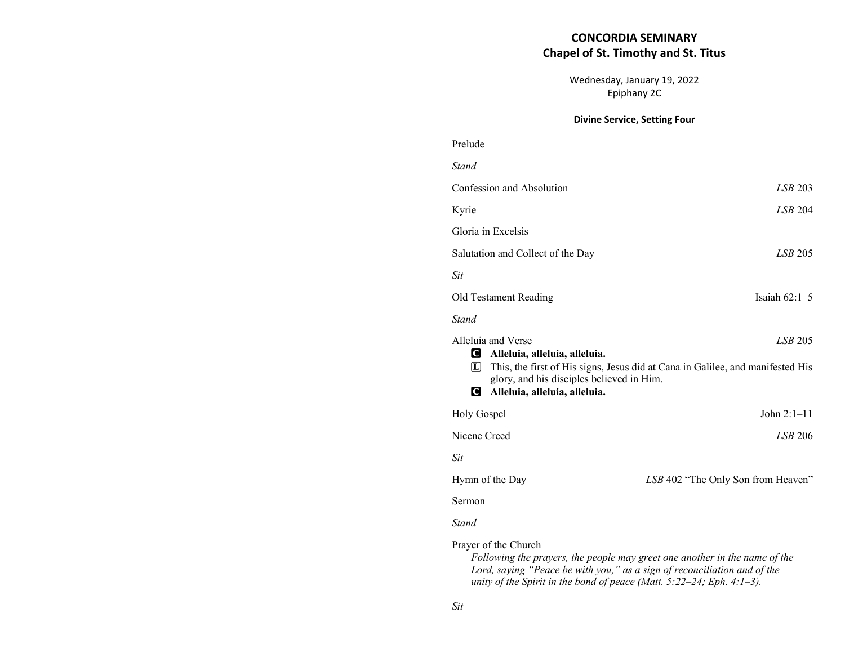# **CONCORDIA SEMINARY Chapel of St. Timothy and St. Titus**

Wednesday, January 19, 2022 Epiphany 2C

### **Divine Service, Setting Four**

| Prelude                                                                                                                                                                                                                                     |                                    |
|---------------------------------------------------------------------------------------------------------------------------------------------------------------------------------------------------------------------------------------------|------------------------------------|
| <b>Stand</b>                                                                                                                                                                                                                                |                                    |
| Confession and Absolution                                                                                                                                                                                                                   | LSB 203                            |
| Kyrie                                                                                                                                                                                                                                       | LSB 204                            |
| Gloria in Excelsis                                                                                                                                                                                                                          |                                    |
| Salutation and Collect of the Day                                                                                                                                                                                                           | LSB 205                            |
| <b>Sit</b>                                                                                                                                                                                                                                  |                                    |
| Old Testament Reading                                                                                                                                                                                                                       | Isaiah $62:1-5$                    |
| <b>Stand</b>                                                                                                                                                                                                                                |                                    |
| Alleluia and Verse<br>LSB 205<br>Alleluia, alleluia, alleluia.<br>This, the first of His signs, Jesus did at Cana in Galilee, and manifested His<br> L <br>glory, and his disciples believed in Him.<br>Q.<br>Alleluia, alleluia, alleluia. |                                    |
| <b>Holy Gospel</b>                                                                                                                                                                                                                          | John $2:1-11$                      |
| Nicene Creed                                                                                                                                                                                                                                | <i>LSB</i> 206                     |
| <b>Sit</b>                                                                                                                                                                                                                                  |                                    |
| Hymn of the Day                                                                                                                                                                                                                             | LSB 402 "The Only Son from Heaven" |
| Sermon                                                                                                                                                                                                                                      |                                    |
| <b>Stand</b>                                                                                                                                                                                                                                |                                    |
| Prayer of the Church<br>Following the prayers, the people may greet one another in the name of the<br>Lord, saying "Peace be with you," as a sign of reconciliation and of the                                                              |                                    |

*unity of the Spirit in the bond of peace (Matt. 5:22–24; Eph. 4:1–3).* 

*Sit*